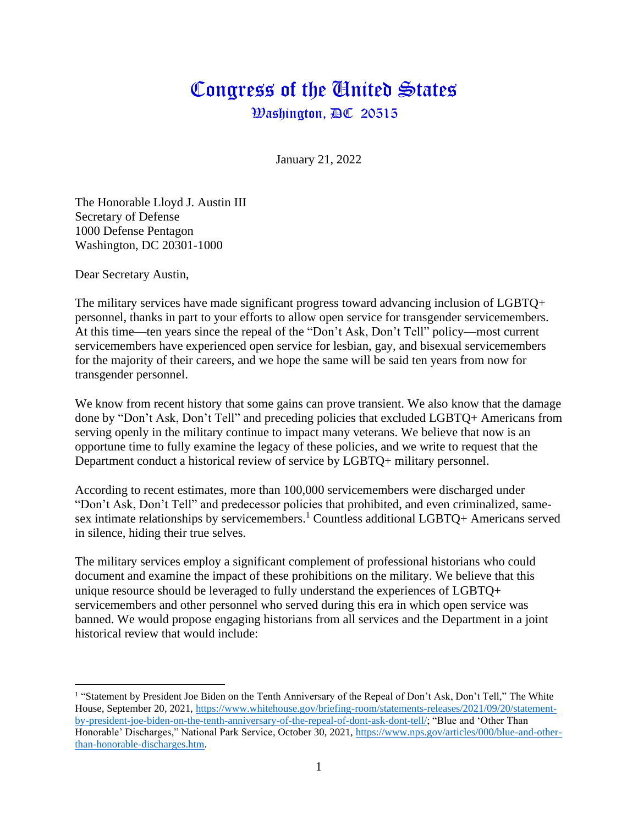## Congress of the Gnited States  $\mathcal{B}$ ashington,  $\mathbb{D}\mathbb{C}$  20515

January 21, 2022

The Honorable Lloyd J. Austin III Secretary of Defense 1000 Defense Pentagon Washington, DC 20301-1000

Dear Secretary Austin,

The military services have made significant progress toward advancing inclusion of LGBTQ+ personnel, thanks in part to your efforts to allow open service for transgender servicemembers. At this time—ten years since the repeal of the "Don't Ask, Don't Tell" policy—most current servicemembers have experienced open service for lesbian, gay, and bisexual servicemembers for the majority of their careers, and we hope the same will be said ten years from now for transgender personnel.

We know from recent history that some gains can prove transient. We also know that the damage done by "Don't Ask, Don't Tell" and preceding policies that excluded LGBTQ+ Americans from serving openly in the military continue to impact many veterans. We believe that now is an opportune time to fully examine the legacy of these policies, and we write to request that the Department conduct a historical review of service by LGBTQ+ military personnel.

According to recent estimates, more than 100,000 servicemembers were discharged under "Don't Ask, Don't Tell" and predecessor policies that prohibited, and even criminalized, samesex intimate relationships by servicemembers.<sup>1</sup> Countless additional LGBTQ+ Americans served in silence, hiding their true selves.

The military services employ a significant complement of professional historians who could document and examine the impact of these prohibitions on the military. We believe that this unique resource should be leveraged to fully understand the experiences of LGBTQ+ servicemembers and other personnel who served during this era in which open service was banned. We would propose engaging historians from all services and the Department in a joint historical review that would include:

<sup>&</sup>lt;sup>1</sup> "Statement by President Joe Biden on the Tenth Anniversary of the Repeal of Don't Ask, Don't Tell," The White House, September 20, 2021, [https://www.whitehouse.gov/briefing-room/statements-releases/2021/09/20/statement](https://www.whitehouse.gov/briefing-room/statements-releases/2021/09/20/statement-by-president-joe-biden-on-the-tenth-anniversary-of-the-repeal-of-dont-ask-dont-tell/)[by-president-joe-biden-on-the-tenth-anniversary-of-the-repeal-of-dont-ask-dont-tell/;](https://www.whitehouse.gov/briefing-room/statements-releases/2021/09/20/statement-by-president-joe-biden-on-the-tenth-anniversary-of-the-repeal-of-dont-ask-dont-tell/) "Blue and 'Other Than Honorable' Discharges," National Park Service, October 30, 2021, [https://www.nps.gov/articles/000/blue-and-other](https://www.nps.gov/articles/000/blue-and-other-than-honorable-discharges.htm)[than-honorable-discharges.htm.](https://www.nps.gov/articles/000/blue-and-other-than-honorable-discharges.htm)